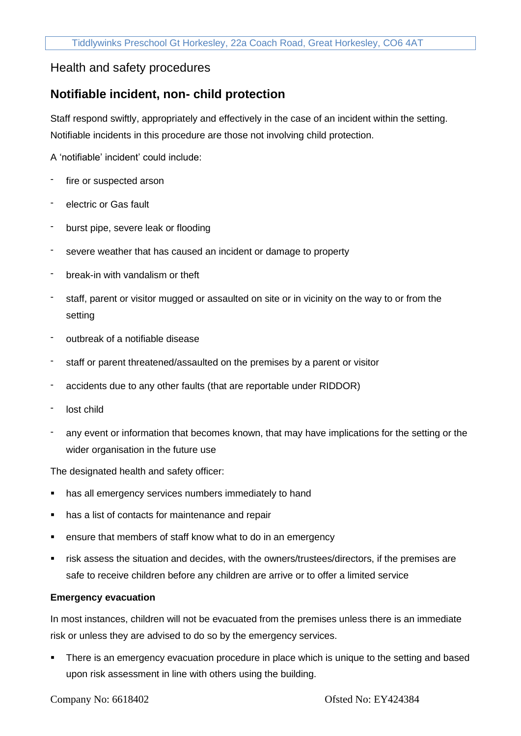## Health and safety procedures

## **Notifiable incident, non- child protection**

Staff respond swiftly, appropriately and effectively in the case of an incident within the setting. Notifiable incidents in this procedure are those not involving child protection.

A 'notifiable' incident' could include:

- fire or suspected arson
- electric or Gas fault
- burst pipe, severe leak or flooding
- severe weather that has caused an incident or damage to property
- break-in with vandalism or theft
- staff, parent or visitor mugged or assaulted on site or in vicinity on the way to or from the setting
- outbreak of a notifiable disease
- staff or parent threatened/assaulted on the premises by a parent or visitor
- accidents due to any other faults (that are reportable under RIDDOR)
- lost child
- any event or information that becomes known, that may have implications for the setting or the wider organisation in the future use

The designated health and safety officer:

- has all emergency services numbers immediately to hand
- has a list of contacts for maintenance and repair
- ensure that members of staff know what to do in an emergency
- **.** risk assess the situation and decides, with the owners/trustees/directors, if the premises are safe to receive children before any children are arrive or to offer a limited service

#### **Emergency evacuation**

In most instances, children will not be evacuated from the premises unless there is an immediate risk or unless they are advised to do so by the emergency services.

**•** There is an emergency evacuation procedure in place which is unique to the setting and based upon risk assessment in line with others using the building.

Company No: 6618402 Company No: 6618402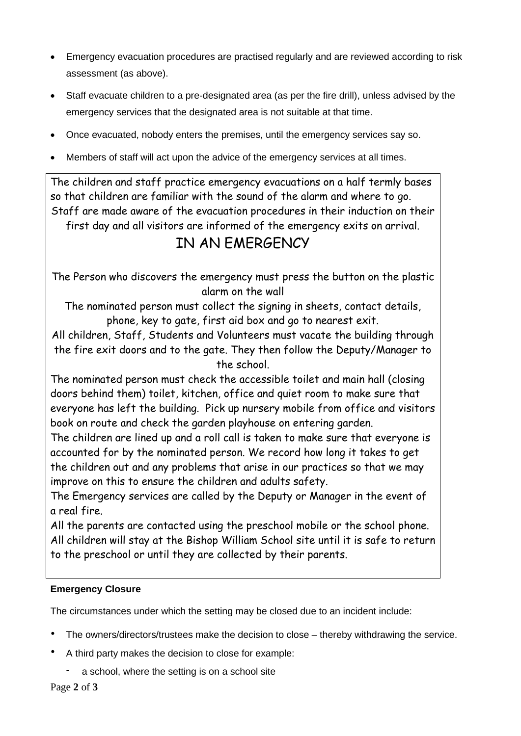- Emergency evacuation procedures are practised regularly and are reviewed according to risk assessment (as above).
- Staff evacuate children to a pre-designated area (as per the fire drill), unless advised by the emergency services that the designated area is not suitable at that time.
- Once evacuated, nobody enters the premises, until the emergency services say so.
- Members of staff will act upon the advice of the emergency services at all times.

The children and staff practice emergency evacuations on a half termly bases so that children are familiar with the sound of the alarm and where to go. Staff are made aware of the evacuation procedures in their induction on their

first day and all visitors are informed of the emergency exits on arrival.

# IN AN EMERGENCY

The Person who discovers the emergency must press the button on the plastic alarm on the wall

The nominated person must collect the signing in sheets, contact details, phone, key to gate, first aid box and go to nearest exit.

All children, Staff, Students and Volunteers must vacate the building through the fire exit doors and to the gate. They then follow the Deputy/Manager to the school.

The nominated person must check the accessible toilet and main hall (closing doors behind them) toilet, kitchen, office and quiet room to make sure that everyone has left the building. Pick up nursery mobile from office and visitors book on route and check the garden playhouse on entering garden.

The children are lined up and a roll call is taken to make sure that everyone is accounted for by the nominated person. We record how long it takes to get the children out and any problems that arise in our practices so that we may improve on this to ensure the children and adults safety.

The Emergency services are called by the Deputy or Manager in the event of a real fire.

All the parents are contacted using the preschool mobile or the school phone. All children will stay at the Bishop William School site until it is safe to return to the preschool or until they are collected by their parents.

### **Emergency Closure**

The circumstances under which the setting may be closed due to an incident include:

- The owners/directors/trustees make the decision to close thereby withdrawing the service.
- A third party makes the decision to close for example:
	- a school, where the setting is on a school site